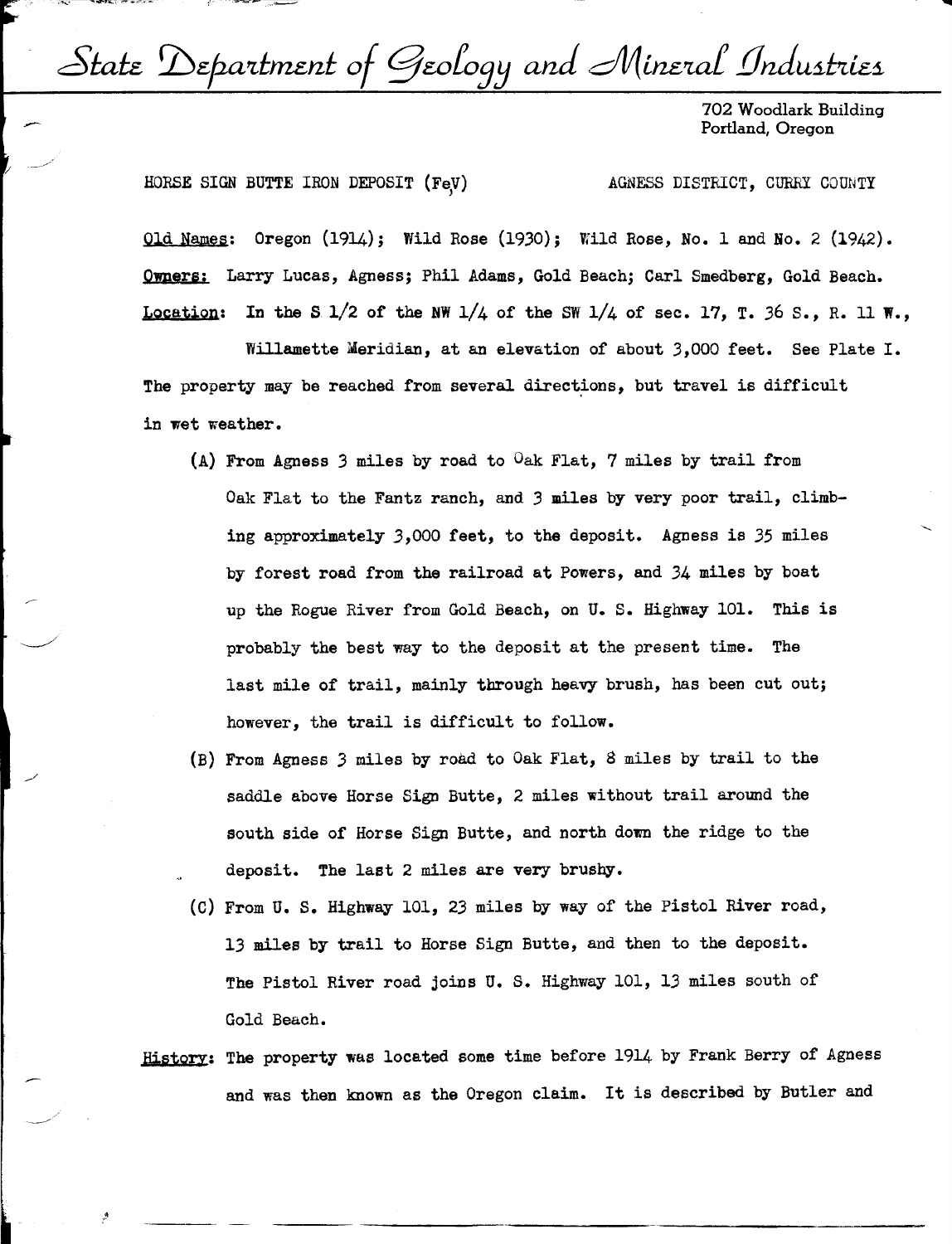State Department of Geology and Mineral Industries

702 Woodlark Building Portland, Oregon

HORSE SIGN BUTTE IRON DEPOSIT (FeV) '

 $\smile$  /

 $\sim$ 

AGNESS DISTRICT, CURRY COUNTY

Old Names: Oregon (1914); Wild Rose (1930); Wild Rose, No. 1 and No. 2 (1942). **Owners;** Larry Lucas, Agness; Phil Adams, Gold Beach; Carl Smedberg, Gold Beach. Location: In the S  $1/2$  of the NW  $1/4$  of the SW  $1/4$  of sec. 17, T. 36 S., R. 11 W.,

Willamette Meridian, at an elevation of about 3,000 feet. See Plate I. The property may be reached from several directions, but travel is difficult in wet weather.

- (A) From Agness *3* miles by road to Oak Flat, 7 miles by trail from Oak Flat to the Fantz ranch, and 3 miles by very poor trail, climbing approximately *3,000* feet, to the deposit. Agness is *35* miles by forest road from the railroad at Powers, and 34 miles by boat up the Rogue River from Gold Beach, on U. s. Highway 101. This is probably the best way to the deposit at the present time. The last mile of trail, mainly through heavy brush, has been cut out; however, the trail is difficult to follow.
- (B) From Agness *3* miles by road to Oak Flat, 8 miles by trail to the saddle above Horse Sign Butte, 2 miles without trail arowd the south side of Horse Sign Butte, and north down the ridge to the deposit. The last 2 miles are very brushy.
- (C) From U.S. Highway 101, 23 miles by way of the Pistol River road, 13 miles by trail to Horse Sign Butte, and then to the deposit. The Pistol River road joins U.S. Highway 101, 13 miles south of Gold Beach.
- **History:** The property was located some time before 1914 by Frank Berry of Agness and was then known as the Oregon claim. It is described by Butler and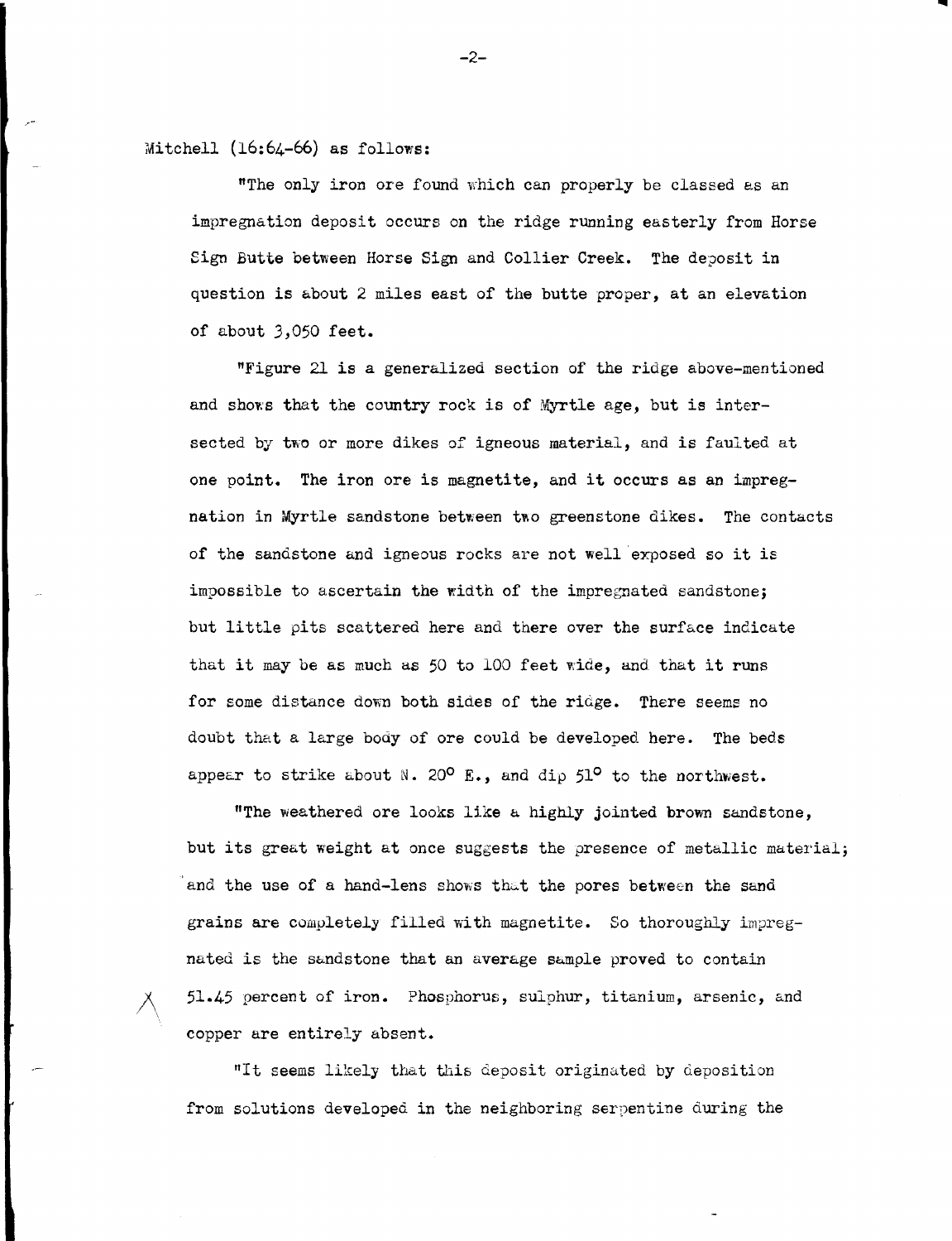Mitchell (16:64-66) as follows:

"The only iron ore found which can properly be classed as an impregnation deposit occurs on the ridge running easterly from Horse Sign Butte between Horse Sign and Collier Creek. The deposit in question is about 2 miles east of the butte proper, at an elevation of about J,050 feet.

"Figure 21 is a generalized section of the ridge above-mentioned and shows that the country rock is of Myrtle age, but is intersected by two or more dikes of igneous material, and is faulted at one point. The iron ore is magnetite, and it occurs as an impregnation in Myrtle sandstone between two greenstone dikes. The contacts of the sandstone and igneous rocks are not well exposed so it is impossible to ascertain the width of the impregnated sandstone; but little pits scattered here and there over the surface indicate that it may be as much as 50 to 100 feet wide, and that it runs for some distance down both sides of the ridge. There seems no doubt that a large body of ore could be developed here. The beds appear to strike about N. 20<sup>0</sup> E., and dip  $51^{\circ}$  to the northwest.

"The weathered ore looks like a highly jointed brown sandstone, but its great weight at once suggests the presence of metallic material; and the use of a hand-lens shows that the pores between the sand grains are completely filled with magnetite. So thoroughly impregnated is the sandstone that an average sample proved to contain /\ 51.45 percent of iron. Phosphorus, sulphur, titanium, arsenic, and copper are entirely absent.

"It seems likely that this deposit originated by deposition from solutions developed in the neighboring serpentine during the

 $-2-$ 

...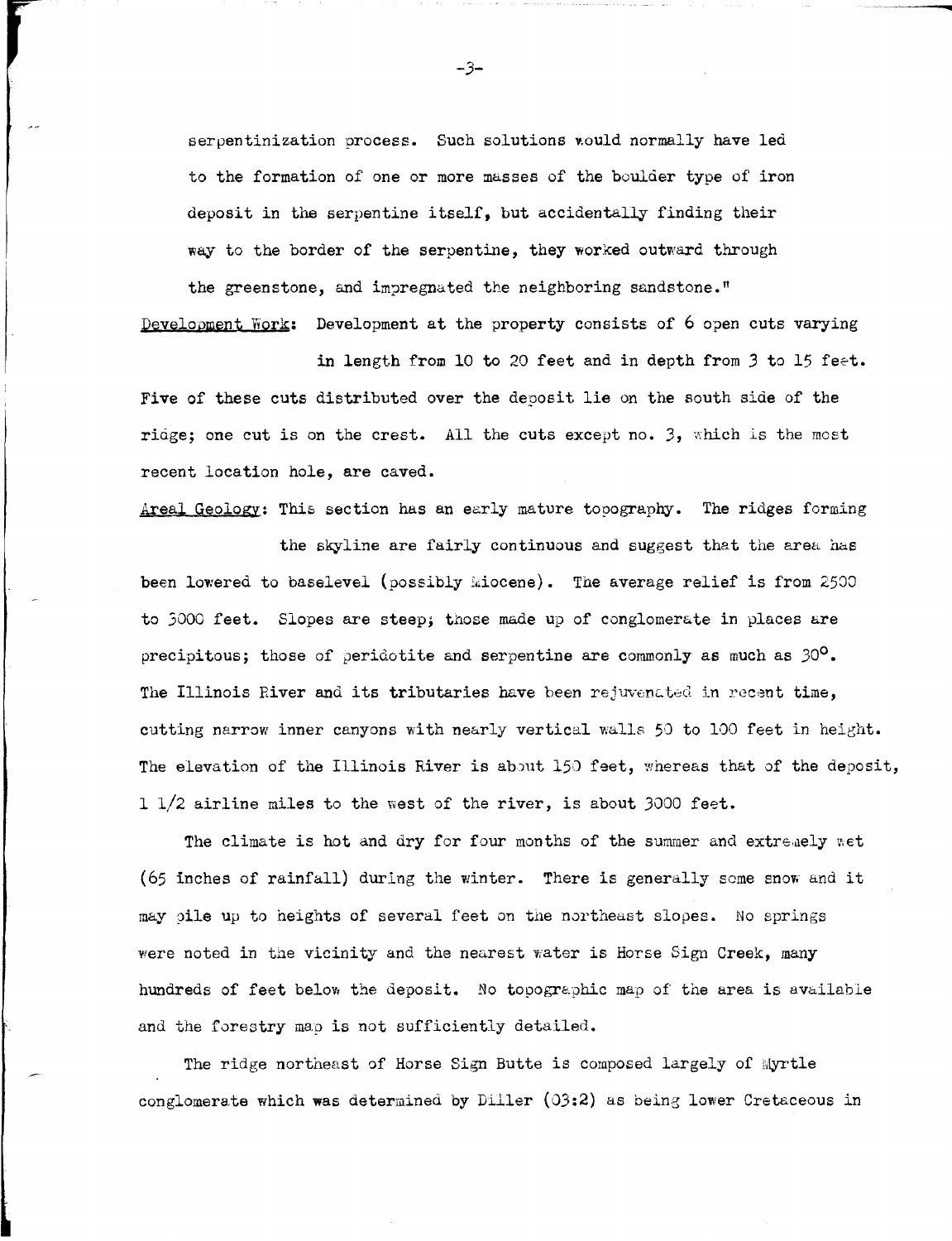serpentinization process. Such solutions would normally have led to the formation of one or more masses of the boulder type of iron deposit in the serpentine itself, but accidentally finding their way to the border of the serpentine, they worked outward through the greenstone, and impregnated the neighboring sandstone."

Development Work: Development at the property consists of 6 open cuts varying

in length from 10 to 20 feet and in depth from 3 to 15 feet. Five of these cuts distributed over the deposit lie on the south side of the ridge; one cut is on the crest. All the cuts except no. 3, which is the most recent location hole, are caved.

Areal Geology: This section has an early mature topography. The ridges forming

the skyline are fairly continuous and suggest that the area has been lowered to baselevel (possibly Miocene). The average relief is from 2500 to 3000 feet. Slopes are steep; those made up of conglomerate in places are precipitous; those of peridotite and serpentine are commonly as much as  $30^{\circ}$ . The Illinois River and its tributaries have been rejuvenated in recent time, cutting narrow inner canyons with nearly vertical walls 50 to 100 feet in height. The elevation of the Illinois River is about 150 feet, whereas that of the deposit, 1 1/2 airline miles to the west of the river, is about 3000 feet.

The climate is hot and dry for four months of the summer and extremely wet (65 inches of rainfall) during the winter. There is generally some snow and it may oile up to heights of several feet on the northeast slopes. No springs were noted in the vicinity and the nearest water is Horse Sign Creek, many hundreds of feet below the deposit. No topographic map of the area is available and the forestry map is not sufficiently detailed.

The ridge northeast of Horse Sign Butte is composed largely of Myrtle conglomerate which was determined by Diller  $(03:2)$  as being lower Cretaceous in

-3-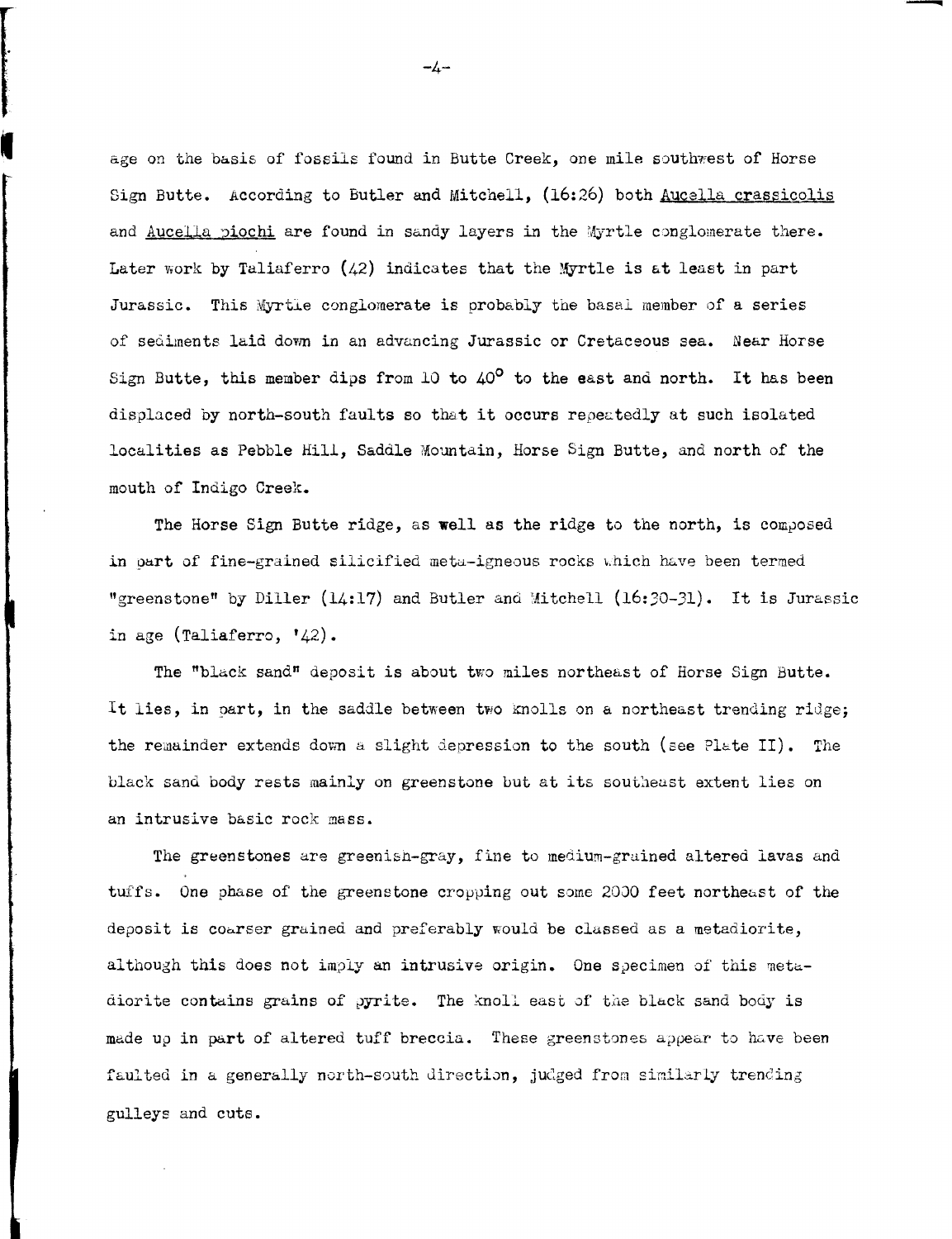age on the basis of fossils found in Butte Creek, one mile southwest of Horse Sign Butte. According to Butler and Mitchell, (16:26) both Aucella crassicolis and Aucella piochi are found in sandy layers in the Myrtle conglomerate there. Later work by Taliaferro (42) indicates that the Myrtle is at least in part Jurassic. This Myrtle conglomerate *is* probably tne basal member of a series of sediments laid down in an advancing Jurassic or Cretaceous sea. Near Horse Sign Butte, this member dips from 10 to  $40^{\circ}$  to the east and north. It has been displaced by north-south faults so that it occurs repeatedly at such isolated localities as Pebble Hill, Saddle Mountain, Horse Sign Butte, and north of the mouth of Indigo Creek.

The Horse Sign Butte ridge, as well as the ridge to the north, is composed in part of fine-grained silicified meta-igneous rocks which have been termed "greenstone" by Diller  $(14:17)$  and Butler and Mitchell  $(16:30-31)$ . It is Jurassic in age (Taliaferro,  $'42$ ).

The "black sand" deposit is about two miles northeast of Horse Sign Butte. It lies, in part, in the saddle between two Knolls on a northeast trending ridge; the remainder extends down a slight depression to the south (see Plate II). The black sand body rests mainly on greenstone but at its southeast extent lies on an intrusive basic rock mass.

The greenstones are greenish-gray, fine to medium-grained altered lavas and tuffs. One phase of the greenstone cropping out some 2000 feet northeast of the deposit is coarser grained and preferably would be clussed as a metadiorite, although this does not imply an intrusive origin. One specimen of this metadiorite contains grains of pyrite. The knoll east of the black sand body is made up in part of altered tuff breccia. These greenstones appear to have been faulted in a generally north-south direction, judged from similarly trending gulleys and cuts.

-4-

I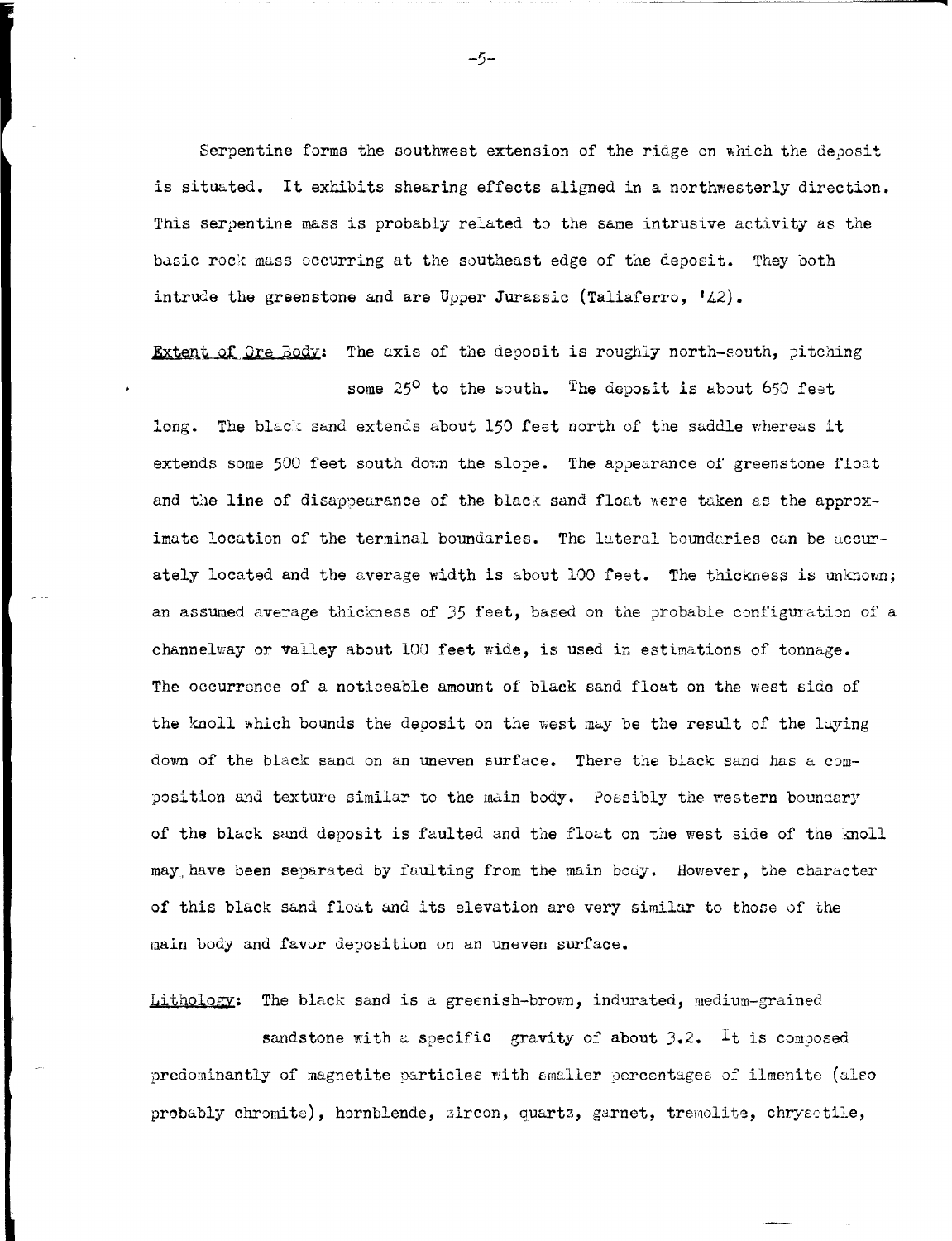Serpentine forms the southwest extension of the ridge on which the deposit is situated. It exhibits shearing effects aligned in a northwesterly direction. This serpentine mass is probably related to the same intrusive activity as the basic rock mass occurring at the southeast edge of the deposit. They both intrude the greenstone and are Upper Jurassic (Taliaferro, '42).

Extent of Ore Body: The axis of the deposit is roughly north-south, pitching some  $25^{\circ}$  to the south. The deposit is about 650 feet

long. The black sand extends about 150 feet north of the saddle whereas it extends some 500 feet south down the slope. The appearance of greenstone float and the line of disappearance of the black sand float were taken as the approximate location of the terminal boundaries. The lateral boundaries can be accurately located and the average width is about 100 feet. The thickness is unknown; an assumed average thickness of 35 feet, based on the probable configuration of a channelway or valley about 100 feet wide, is used in estimations of tonnage. The occurrence of a noticeable amount of black sand float on the west side of the knoll which bounds the deposit on the west may be the result of the laying down of the black sand on an uneven surface. There the black sand has a composition and texture similar to the main body. Possibly the western boundary of the black sand deposit is faulted and the float on the west side of the knoll may have been separated by faulting from the main body. However, the character of this black sand float and its elevation are very similar to those of the main body and favor deposition on an uneven surface.

Lithology: The black sand is a greenish-brown, indurated, medium-grained

sandstone with a specific gravity of about  $3.2$ . It is composed predominantly of magnetite particles with smaller percentages of ilmenite (also probably chromite), hornblende, zircon, quartz, garnet, tremolite, chrysotile,

-5-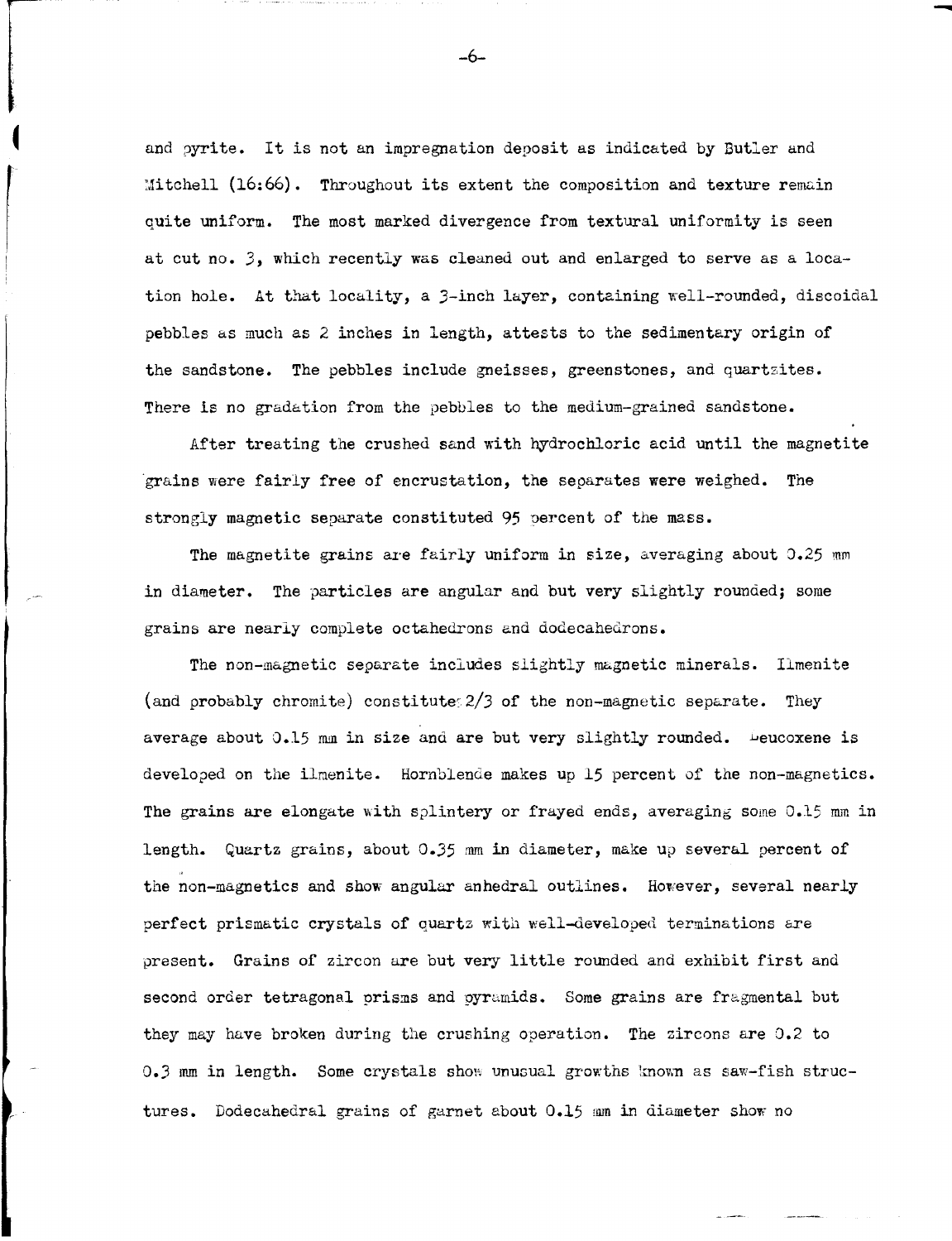and pyrite. It is not an impregnation deposit as indicated by Butler and  $Mitchell (16:66)$ . Throughout its extent the composition and texture remain quite uniform. The most marked divergence from textural uniformity is seen at cut no. 3, which recently was cleaned out and enlarged to serve as a location hole. At that locality, a 3-inch layer, containing well-rounded, discoidal pebbles as much as 2 inches in length, attests to the sedimentary origin of the sandstone. The pebbles include gneisses, greenstones, and quartzites. There is no gradation from the pebbles to the medium-grained sandstone.

After treating the crushed sand with hydrochloric acid until the magnetite ·grains were fairly free of encrustation, the separates were weighed. The strongly magnetic separate constituted 95 oercent of the mass.

The magnetite grains are fairly uniform in size, averaging about  $0.25$  mm in diameter. The particles are angular and but very slightly rounded; some grains are nearly complete octahedrons and dodecahedrons.

The non-magnetic separate includes slightly magnetic minerals. Ilmenite (and probably chromite) constitute  $2/3$  of the non-magnetic separate. They average about  $0.15$  mm in size and are but very slightly rounded.  $\overline{\phantom{a}}$  eucoxene is developed on the ilmenite. Hornblende makes up 15 percent of the non-magnetics. The grains are elongate with splintery or frayed ends, averaging some 0.15 mm in length. Quartz grains, about 0.35 mm in diameter, make up several percent of the non-magnetics and show angular anhedral outlines. However, several nearly perfect prismatic crystals of quartz with well-developed terminations are present. Grains of zircon are but very little rounded and exhibit first and second order tetragonal prisms and pyramids. Some grains are fragmental but they may have broken during the crushing operation. The zircons are 0.2 to  $0.3$  mm in length. Some crystals show unusual growths known as saw-fish structures. Dodecahedral grains of garnet about 0.15 mm in diameter show no

-6-

-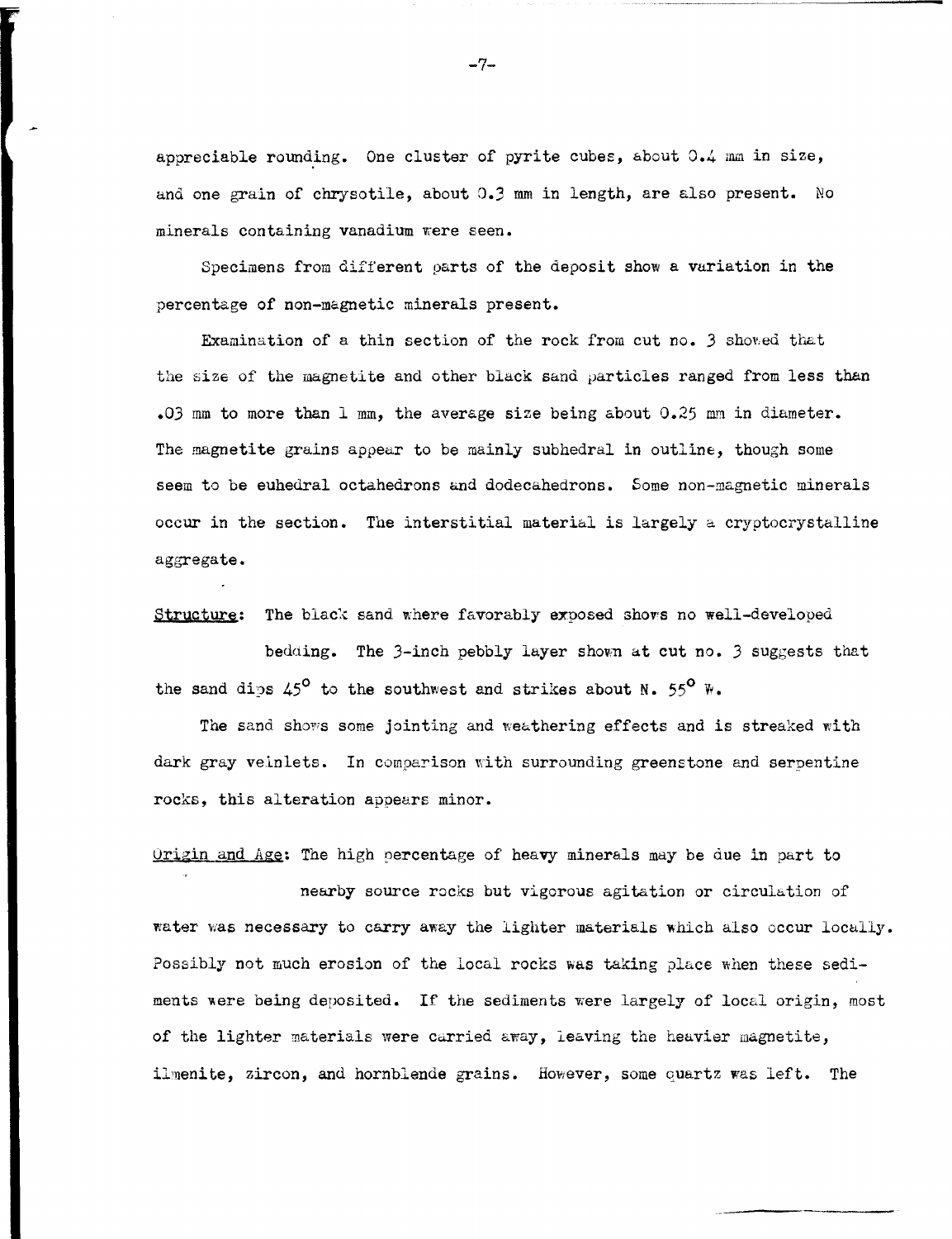appreciable rounding. One cluster of pyrite cubes, about 0.4 mm in size, and one grain of chrysotile, about D.3 mm *in* length, are also present. No minerals containing vanadium were seen.

Specimens from different parts of the deposit show a variation in the percentage of non-magnetic minerals present.

Examination of a thin section of the rock from cut no. 3 shoved that the size of the magnetite and other black sand particles ranged from less than .03 mm to more than 1 mm, the average size being about  $0.25$  mm in diameter. The magnetite grains appear to be mainly subhedral in outline, though some seem to be euhedral octahedrons and dodecahedrons. Some non-magnetic minerals occur in the section. The interstitial material is largely a cryptocrystalline aggregate.

Structure: The black sand where favorably exposed shows no well-developed

bedding. The 3-inch pebbly layer shown at cut no. 3 suggests that the sand dips 45<sup>°</sup> to the southwest and strikes about N. 55<sup>°</sup> W.

The sand shows some jointing and weathering effects and is streaked with dark gray velnlets. In comparison with surrounding greenstone and serpentine rocks, this alteration appears minor.

Origin and Age: The high percentage of heavy minerals may be due in part to

nearby source rocks but vigorous agitation or circulation of water was necessary to carry away the lighter materials which also occur locally. Possibly not much erosion of the local rocks was taking place when these sediments were being deposited. If the sediments were largely of local origin, most of the lighter materials were carried away, leaving the heavier magnetite, ilmenite, zircon, and hornblende grains. However, some quartz was left. The

 $-7-$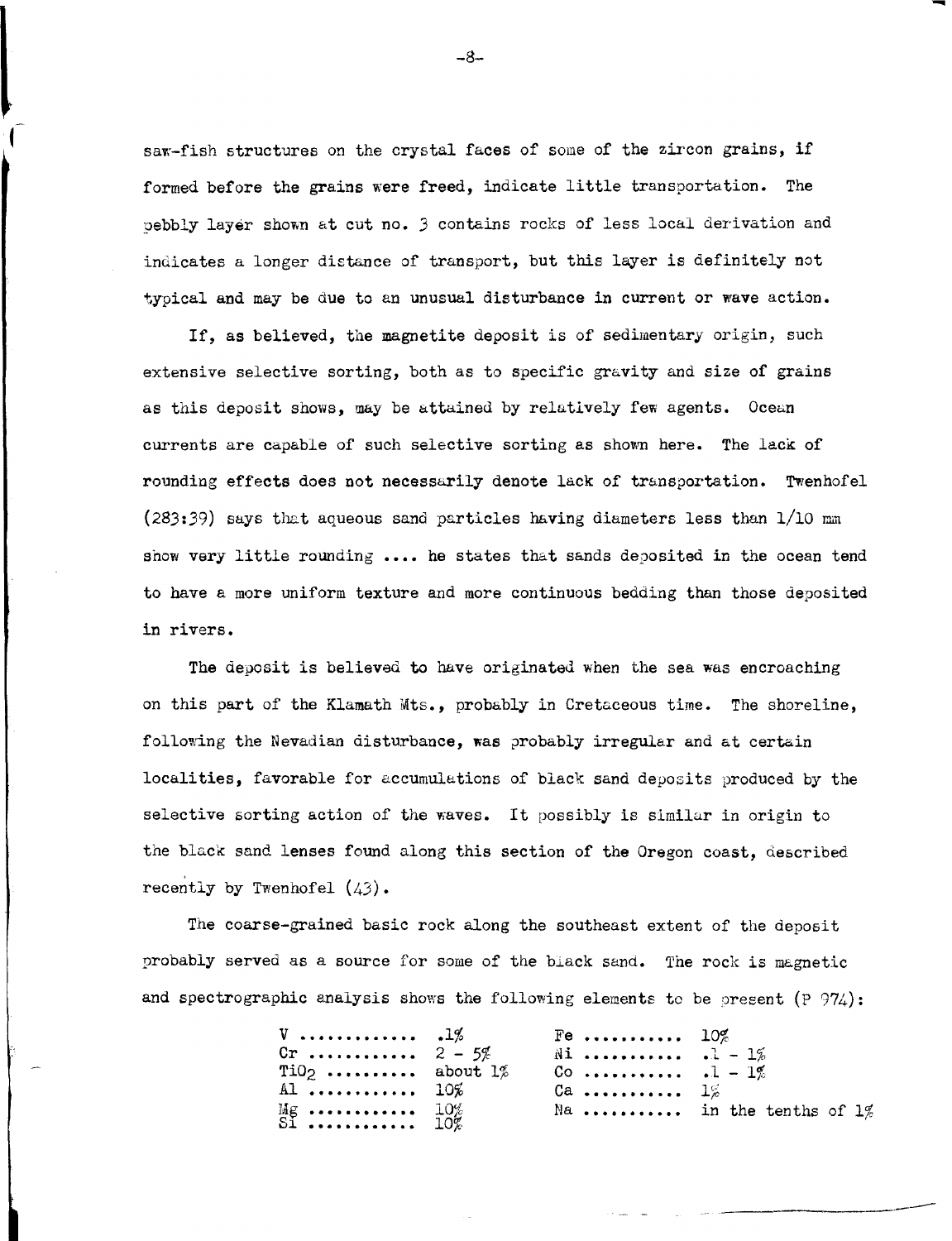saw-fish structures on the crystal faces of some of the zircon grains, if formed before the grains were freed, indicate little transportation. The pebbly layer shown at cut no. 3 contains rocks of less local derivation and indicates a longer distance of transport, but this layer is definitely not typical and may be due to an unusual disturbance in current or wave action.

If, as believed, the magnetite deposit is of sedimentary origin, such extensive selective sorting, both as to specific gravity and size of grains as this deposit shows, may be attained by relatively few agents. Ocean currents are capable of such selective sorting as shown here. The lack of rounding effects does not necessarily denote lack of transportation. Twenhofel  $(283:39)$  says that aqueous sand particles having diameters less than  $1/10$  mm show very little rounding .... he states that sands deposited in the ocean tend to have a more uniform texture and more continuous bedding than those deposited in rivers.

The deposit is believed to have originated when the sea was encroaching on this part of the Klamath Mts., probably in Cretaceous time. The shoreline, following the Nevadian disturbance, was probably irregular and at certain localities, favorable for accumulations of black sand deposits produced by the selective sorting action of the waves. It possibly is similar in origin to the black sand lenses found along this section of the Oregon coast, described recently by Twenhofel  $(43)$ .

The coarse-grained basic rock along the southeast extent of the deposit probably served as a source for some of the black sand. The rock is magnetic and spectrographic analysis shows the following elements to be present  $(P 974)$ :

|                        | $Fe$ $10\%$         |                           |
|------------------------|---------------------|---------------------------|
| Cr $2 - 5%$            | $\tilde{M}$ .1 - 1% |                           |
| $TiO2$ about $1\%$     | Co $-1\%$           |                           |
| Al $10\%$              | $Ca$ $1\%$          |                           |
| Mg $10\%$<br>Si $10\%$ |                     | Na in the tenths of $1\%$ |
|                        |                     |                           |

-8-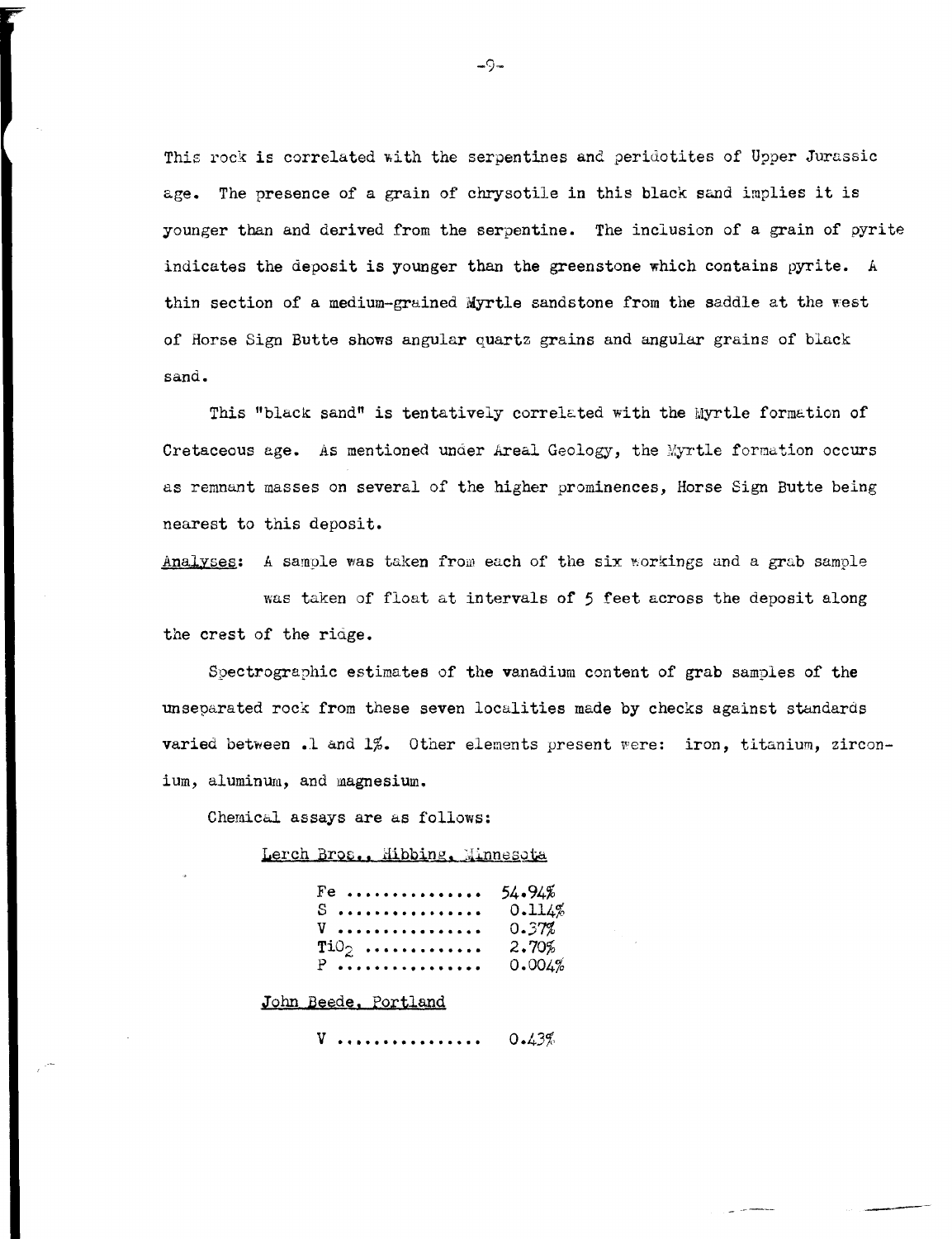This rock is correlated with the serpentines and peridotites of Upper Jurassic age. The presence of a grain of chrysotile in this black sand implies it is younger than and derived from the serpentine. The inclusion of a grain of pyrite indicates the deposit is younger than the greenstone which contains pyrite. <sup>A</sup> thin section of a medium-grained Myrtle sandstone from the saddle at the west of Horse Sign Butte shows angular quartz grains and angular grains of black sand.

This "black sand" is tentatively correlated with the Myrtle formation of Cretaceous age. As mentioned under Areal Geology, the Myrtle formation occurs as remnant masses on several of the higher prominences, Horse Sign Butte being nearest to this deposit.

Analyses: A sample was taken from each of the six workings and a grab sample was taken of float at intervals of 5 feet across the deposit along the crest of the riage.

Spectrographic estimates of the vanadium content of grab samples of the unseparated rock from these seven localities made by checks against standards varied between .1 and  $1\%$ . Other elements present were: iron, titanium, zirconium, aluminum, and magnesium.

Chemical assays are as follows:

Lerch Bros., Hibbing, Minnesota

| $Fe$   | 54.94%   |
|--------|----------|
| S      | 0.114%   |
| V      | 0.37%    |
| $TiO2$ | $2.70\%$ |
| $P$    | 0.004%   |

John Beede, Portland

**V** • • •. • • • • •• • • ••• •  $0.43%$ 

 $-9-$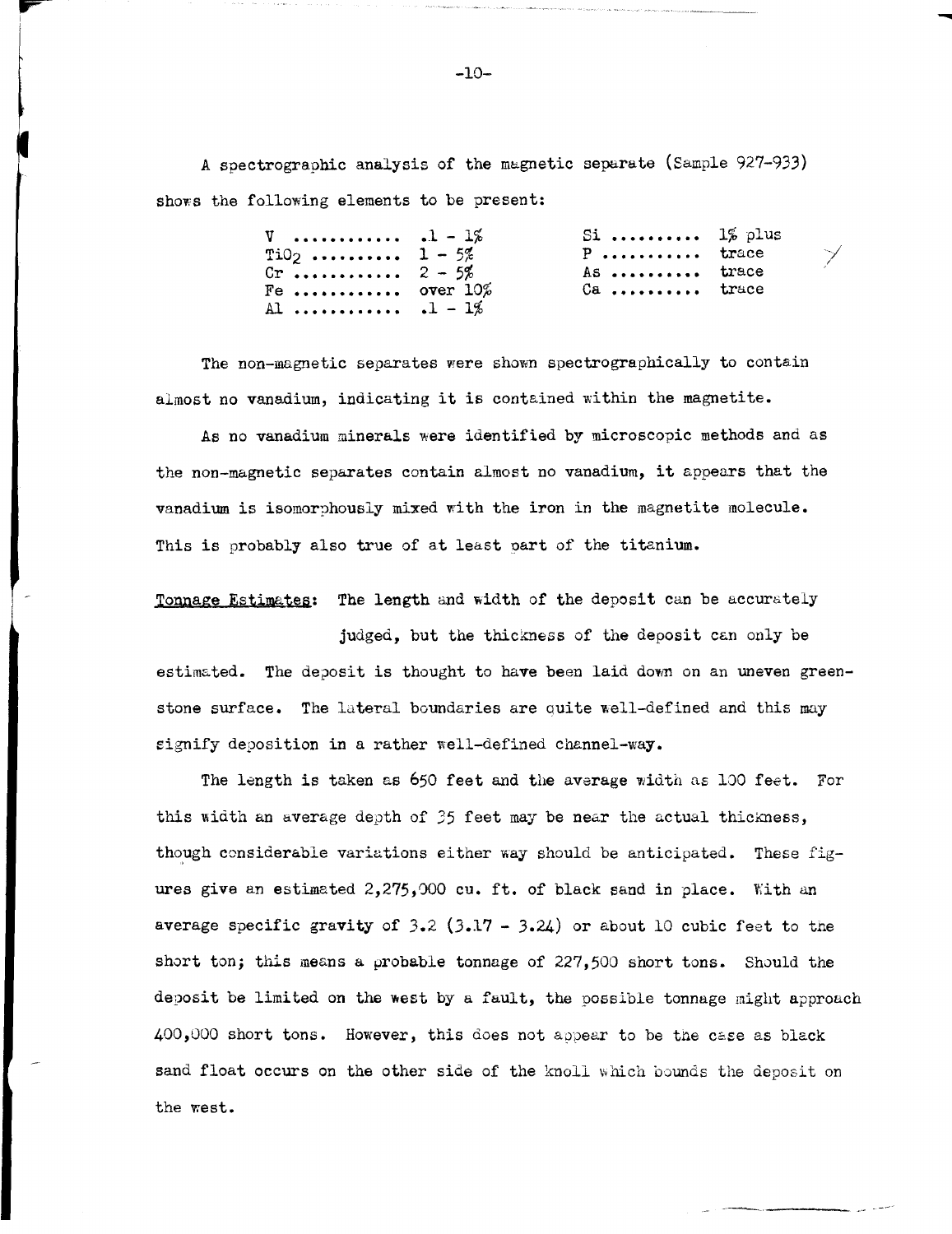A spectrographic analysis of the magnetic separate (Sample 927-933) shows the following elements to be present:

| $V$ $1 - 1\%$<br>$TiO2$ 1 - 5%<br>$Cr \dots r \dots r \dots 2 - 5%$<br>Fe  over $10\%$<br>Al $-12$ | Si $1\%$ plus<br>P trace<br>As  trace<br>$Ca$ trace |  | $\gamma'$ |
|----------------------------------------------------------------------------------------------------|-----------------------------------------------------|--|-----------|
|----------------------------------------------------------------------------------------------------|-----------------------------------------------------|--|-----------|

-

The non-magnetic separates were shown spectrographically to contain almost no vanadium, indicating it is contained within the magnetite.

As no vanadium minerals were identified by microscopic methods and as the non-magnetic separates contain almost no vanadium, it appears that the vanadium is isomorphously mixed with the iron in the magnetite molecule. This is probably also true of at least part of the titanium.

Tonnage Estimates: The length and width of the deposit can be accurately

judged, but the thickness of the deposit can only be estimated. The deposit is thought to have been laid down on an uneven greenstone surface. The lateral boundaries are quite well-defined and this may signify deposition in a rather well-defined channel-way.

The length is taken as 650 feet and the average width as 100 feet. For this width an average depth of  $35$  feet may be near the actual thickness, though considerable variations either way should be anticipated. These figures give an estimated 2,275,000 cu. ft. of black sand in place. With an average specific gravity of  $3.2$  (3.17 - 3.24) or about 10 cubic feet to the short ton; this means a probable tonnage of 227,500 short tons. Should the deposit be limited on the west by a fault, the possible tonnage might approach  $400,000$  short tons. However, this does not appear to be the case as black sand float occurs on the other side of the knoll which bounds the deposit on the west.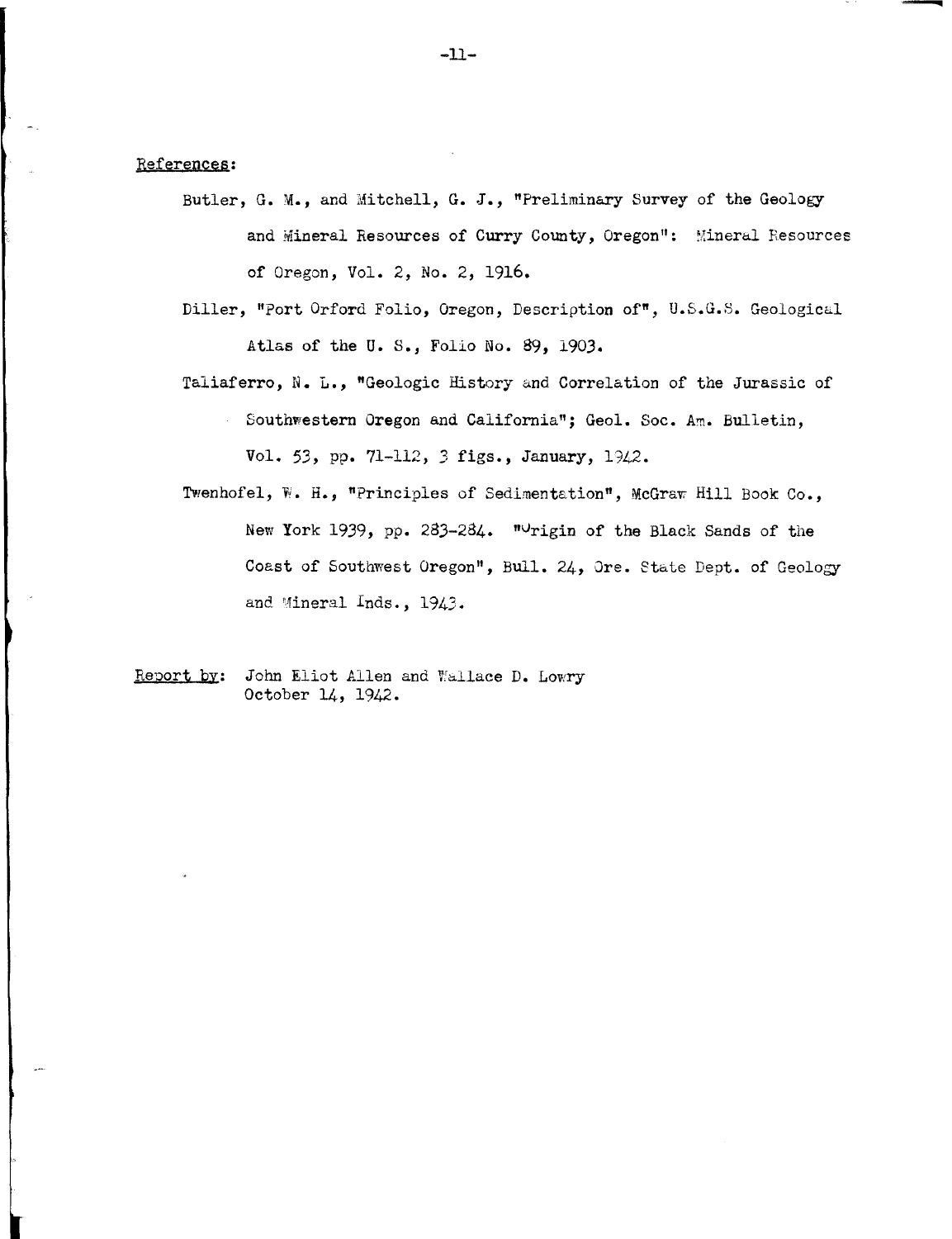#### References:

- Butler, G. M., and Mitchell, G. J., "Preliminary Survey of the Geology and Mineral Resources of Curry County, Oregon": Mineral Resources of Oregon, Vol. 2, No. 2, 1916.
- Diller, "Port Orford Folio, Oregon, Description of", U.S.G.S. Geologicul Atlas of the U.S., Folio No. 89, 1903.
- Taliaferro, N. L., "Geologic History and Correlation of the Jurassic of
	- Southwestern Oregon and California"; Geol. Soc. Am. Bulletin,  $\mathcal{L}^{(1)}$ Vol. 53, pp. 71-112, 3 figs., January, 1942.
- Twenhofel, W. H., "Principles of Sedimentation", McGraw Hill Book Co., New York 1939, pp. 283-284. "Urigin of the Black Sands of the Coast of Southwest Oregon", Bull. 24, Ore. etate Dept. of Geology and Mineral Inds., 1943.
- Report by: John Eliot Allen and Wallace D. Lowry October 14, 1942.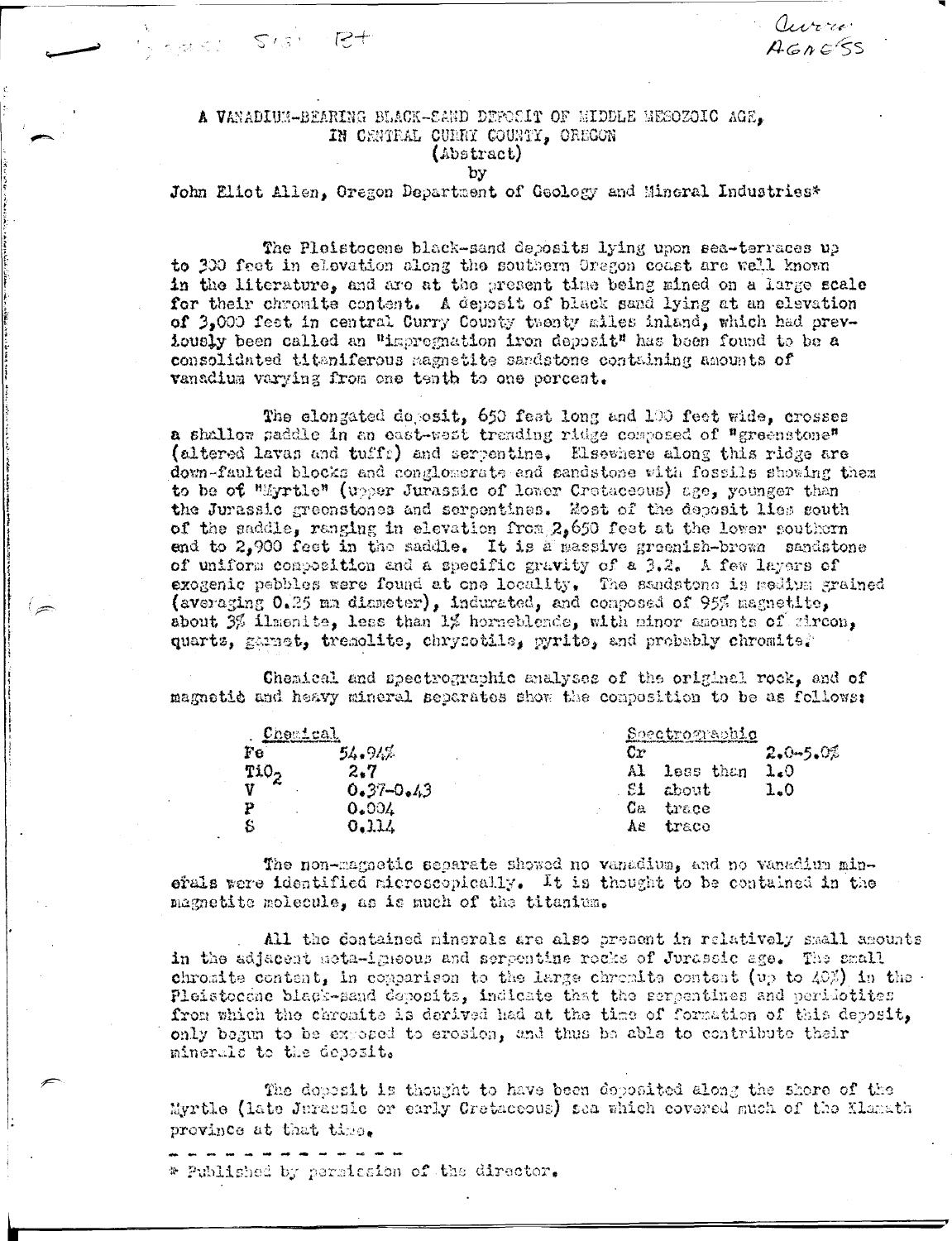# A VANADIUM-BEARING BLACK-SAND DEPOSIT OF NIDDLE NESOZOIC AGE. IN CENTRAL CURRY COUNTY, OREGON (Abstract)

**SWELL SIGN Rt** 

by

John Eliot Allen, Oregon Department of Geology and Mincral Industries\*

aurro

 $A G C S$ 

The Ploistocene black-sand deposits lying upon sea-terraces up to 300 feet in elevation along the southern Oregon coast are well known in the literature, and are at the present time being mined on a large scale for their chromite content. A deposit of black sand lying at an elevation of 3.000 feet in central Curry County twenty miles inland, which had prevlously been called an "impregnation iron deposit" has been found to be a consolidated titaniferous magnetite sandstone containing amounts of vanadium varying from one tenth to one percent.

The elongated deposit, 650 feat long and 100 feet wide, crosses a shallow paddle in an east-west trending ridge composed of "greenstone" (altered lavas and tuffs) and serpentine. Elsewhere along this ridge are down-faulted blocks and conglomerate and sandstone with fossils showing them to be of "Myrtle" (upper Jurassic of lower Cretaceous) age, younger than the Jurassic greenstones and serpentines. Host of the deposit lies gouth of the saddle, ranging in elevation from  $2.650$  feet at the lower southern end to 2,900 feet in the saddle. It is a sassive greenish-brown sandstone of uniform composition and a specific gravity of a 3.2. A few layers of exogenic pebbles were found at one locality. The sandstone is medium grained (averaging 0.25 mm diameter), indurated, and composed of 95% magnetite. about 3% illuste, less than 1% horneblende, with minor amounts of gircon, quarts, garact, tremolite, chrysotile, pyrite, and probably chromite?

Chemical and spectrographic analyses of the original rock, and of magnetic and heavy mineral separates show the composition to be as follows:

| <u>Chemical</u>  |               | Spectrographic   |           |              |  |  |
|------------------|---------------|------------------|-----------|--------------|--|--|
| Fе               | 54.94%        | Cr               |           | $2.0 - 5.02$ |  |  |
| TiO <sub>2</sub> | 2.7           | Al.              | less than | 1.0          |  |  |
|                  | $0.37 - 0.43$ | £1               | about     | 1.0          |  |  |
|                  | 0.004         | $\mathbf{C}_{B}$ | trace     |              |  |  |
|                  | 0.114         | Ae               | trace     |              |  |  |

The non-magnetic separate showed no vanadium, and no vanadium minerals were identified microscopically. It is thought to be contained in the magnetite molecule, as is much of the titanium.

All the contained minerals are also present in relatively small amounts in the adjacent meta-igneous and serpentine rocks of Jurassic age. The small chroatte content, in comparison to the large chromite content (up to  $40\%$ ) in the Pleistocene black-sand deposits, indicate that the serpentines and peridotites from which the chronite is derived had at the time of formation of this deposit, only begun to be exposed to erosion, and thus be able to contribute their minerals to the deposit.

The dopesit is thought to have been doposited along the shore of the Myrtle (late Jurassic or early Cretaceous) sea which covered much of the Klamath province at that time.

\* Published by permission of the director.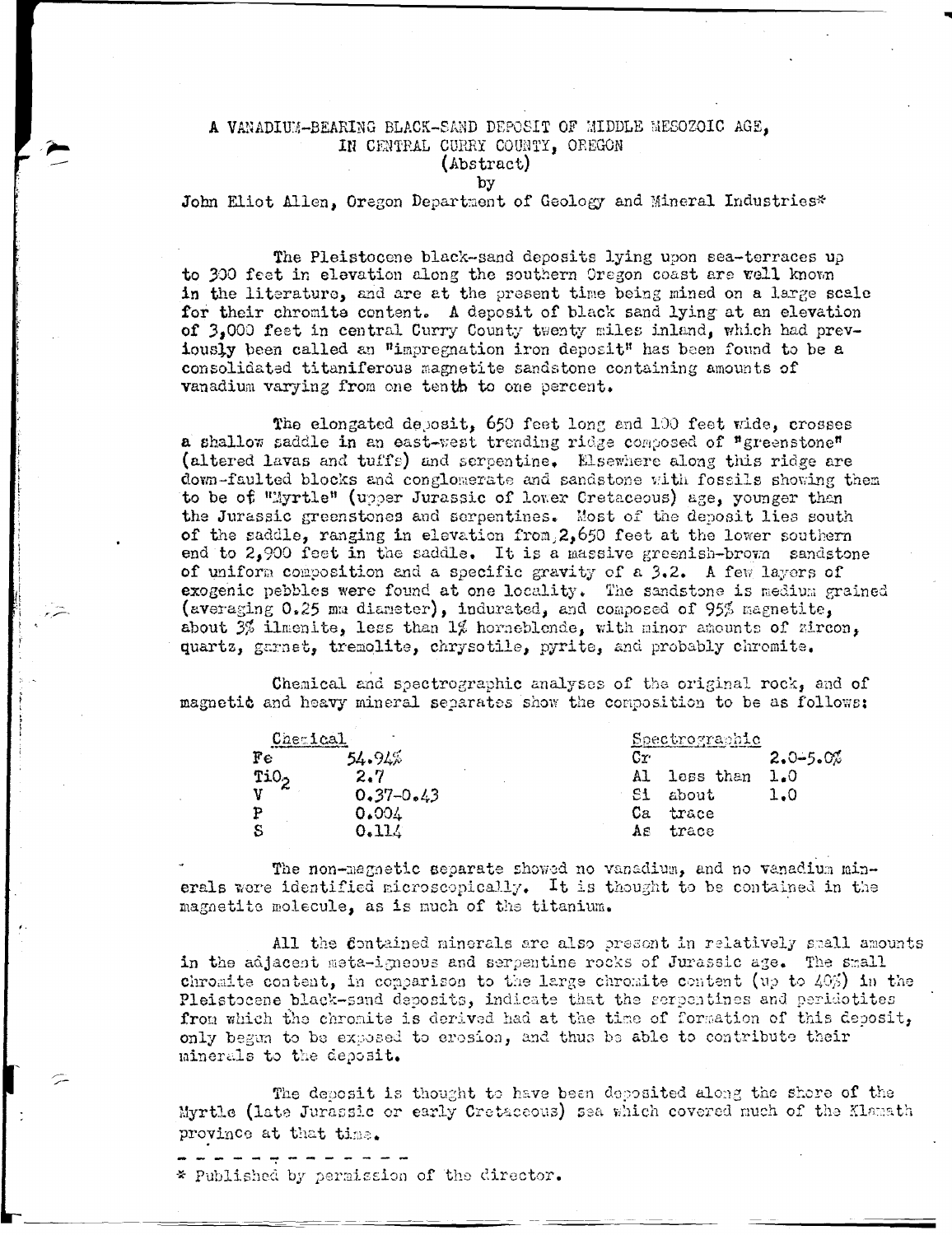### A VANADIUM-BEARING BLACK-SAND DEPOSIT OF MIDDLE MESOZOIC AGE. IN CENTRAL CURRY COUNTY, OREGON (Abstract)

#### by

John Eliot Allen, Oregon Department of Geology and Mineral Industries\*

The Pleistocene black-sand deposits lying upon sea-terraces up to 300 feet in elevation along the southern Oregon coast are vell known in the literature, and are at the present time being mined on a large scale for their chromite content. A deposit of black sand lying at an elevation of 3.000 feet in central Curry County twenty miles inland, which had previously been called an "impregnation iron deposit" has been found to be a consolidated titaniferous magnetite sandstone containing amounts of vanadium varying from one tenth to one percent.

The elongated deposit, 650 feet long and 100 feet wide, crosses a shallow saddle in an east-west trending ridge composed of "greenstone" (altered lavas and tuffs) and serpentine. Elsewhere along this ridge are down-faulted blocks and conglomerate and sandstone with fossils showing them to be of "Myrtle" (upper Jurassic of lower Cretaceous) age, younger than the Jurassic greenstones and serpentines. Most of the deposit lies south of the saddle, ranging in elevation from, 2,650 feet at the lower southern end to 2,900 feet in the saddle. It is a massive greenish-brown sandstone of uniform composition and a specific gravity of a 3.2. A few layers of exogenic pebbles were found at one locality. The sandstone is medium grained (averaging 0.25 mm diameter), indurated, and composed of 95% magnetite, about  $3\frac{2}{3}$  ilmenite, less than  $1\frac{2}{3}$  horneblende, with minor amounts of zircon, quartz, garnet, tremolite, chrysotile, pyrite, and probably chromite.

Chemical and spectrographic analyses of the original rock, and of magnetic and heavy mineral separates show the composition to be as follows:

| Cherical         |               | Spectrographic |           |              |  |
|------------------|---------------|----------------|-----------|--------------|--|
| Fe               | $54.94\%$     | Сr             |           | $2.0 - 5.0%$ |  |
| TiO <sub>2</sub> | 2.7           | Al             | less than | 1.0          |  |
| $\mathbf{v}$     | $0.37 - 0.43$ | -S1<br>about   |           | 1.0          |  |
| P                | 0.004         | Cа<br>trace    |           |              |  |
| -S               | 0.114         | trace<br>AS.   |           |              |  |

The non-magnetic separate showed no vanadium, and no vanadium minerals were identified microscopically. It is thought to be contained in the magnetite molecule, as is much of the titanium.

All the Contained minerals are also present in relatively small amounts in the adjacent meta-igneous and serpentine rocks of Jurassic age. The small chromite content, in comparison to the large chromite content (up to  $40\%$ ) in the Pleistocene black-sand deposits, indicate that the serpentines and peridotites from which the chromite is derived had at the time of formation of this deposit, only begun to be exposed to erosion, and thus be able to contribute their minerals to the deposit.

The deposit is thought to have been deposited along the shore of the Myrtle (late Jurassic or early Cretaceous) sea which covered much of the Klamath province at that time.

\* Published by permission of the director.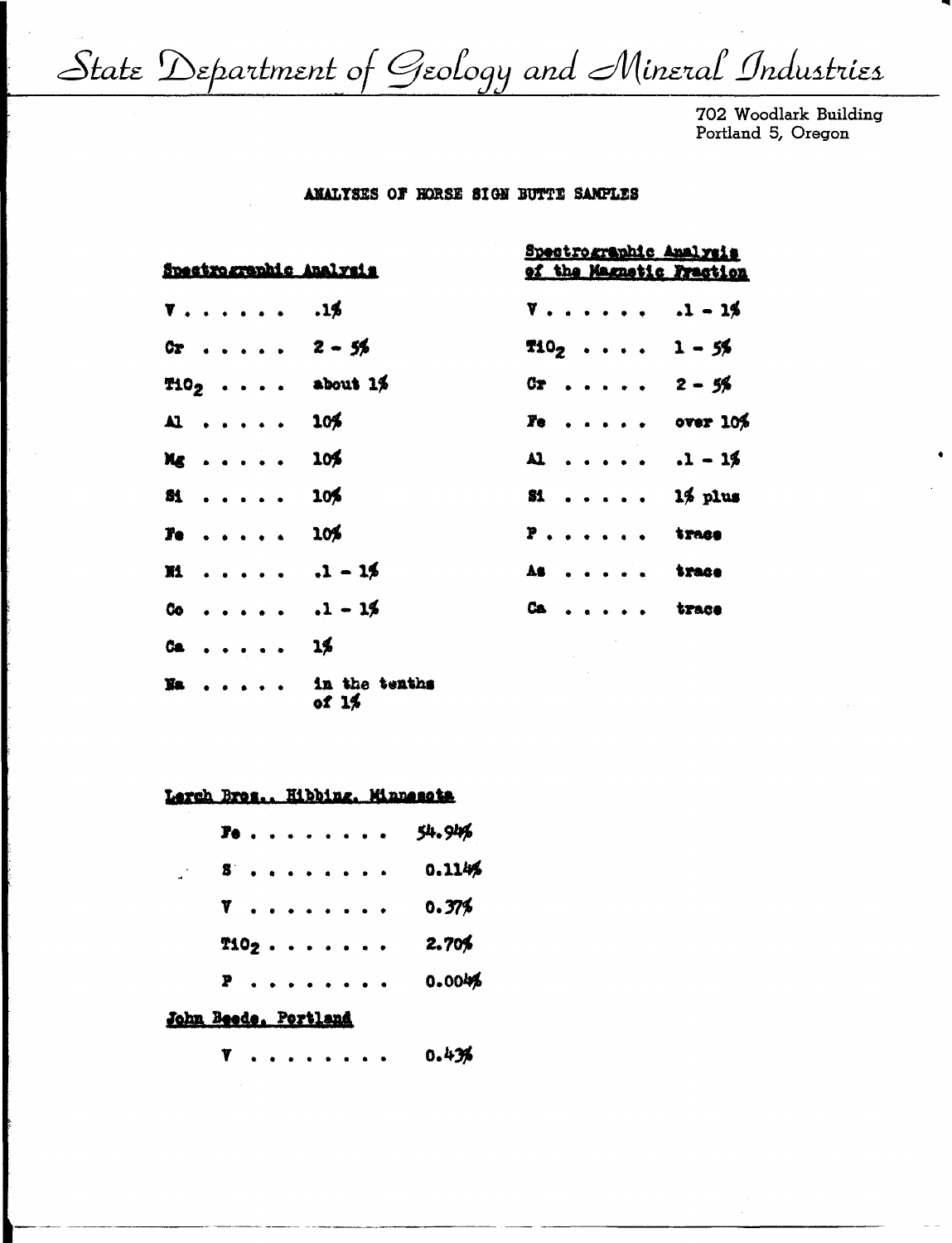State Department of Geology and Mineral Industries

702 Woodlark Building Portland 5, Oregon

## ANALYSES OF HORSE SIGN BUTTE SAMPLES

| Spectrographic Analysis                   | Spectrographic Analysis<br>of the Magnetic Fraction |  |  |  |  |  |  |
|-------------------------------------------|-----------------------------------------------------|--|--|--|--|--|--|
| $V \ldots \ldots \ldots$ .1%              | $V = 1.1 + 1.1 - 1.5$                               |  |  |  |  |  |  |
| $0r$ $2 - 56$                             | $102$ 1 - 5%                                        |  |  |  |  |  |  |
| $T102$ about 1%                           | $0x$ 2 - 5%                                         |  |  |  |  |  |  |
| AL  105                                   | $r_0$ over $10\%$                                   |  |  |  |  |  |  |
| $Mg$ 10%                                  | $AL   1 - 1%$                                       |  |  |  |  |  |  |
| $51 \t 105$                               | $\text{st}$ 1% plus                                 |  |  |  |  |  |  |
| $T_0$ 10%                                 | $P$ , , , , , , trace                               |  |  |  |  |  |  |
| $M \ldots \ldots \ldots$                  | As trace                                            |  |  |  |  |  |  |
| $00 \cdot \cdot \cdot \cdot \cdot 1 - 15$ | Ca trace                                            |  |  |  |  |  |  |
| 04.111.111.111                            |                                                     |  |  |  |  |  |  |
| Na in the tenths                          |                                                     |  |  |  |  |  |  |

of 1%

Lerch Bres., Hibbing, Minnesota

| <b>Pe</b>            |  |  | $\ddot{\phantom{1}}$ | <b>A</b> A A                  |  | 54.94% |
|----------------------|--|--|----------------------|-------------------------------|--|--------|
| 8.                   |  |  |                      | $\bullet$ $\bullet$ $\bullet$ |  | 0.1146 |
| 7.                   |  |  |                      | $\sim$ $\sim$ $\sim$          |  | 0.37%  |
| T102                 |  |  |                      |                               |  | 2.70%  |
| P                    |  |  |                      | $\sim$ $\sim$ $\sim$          |  | 0.004% |
| John Beede, Portland |  |  |                      |                               |  |        |

0.43% Y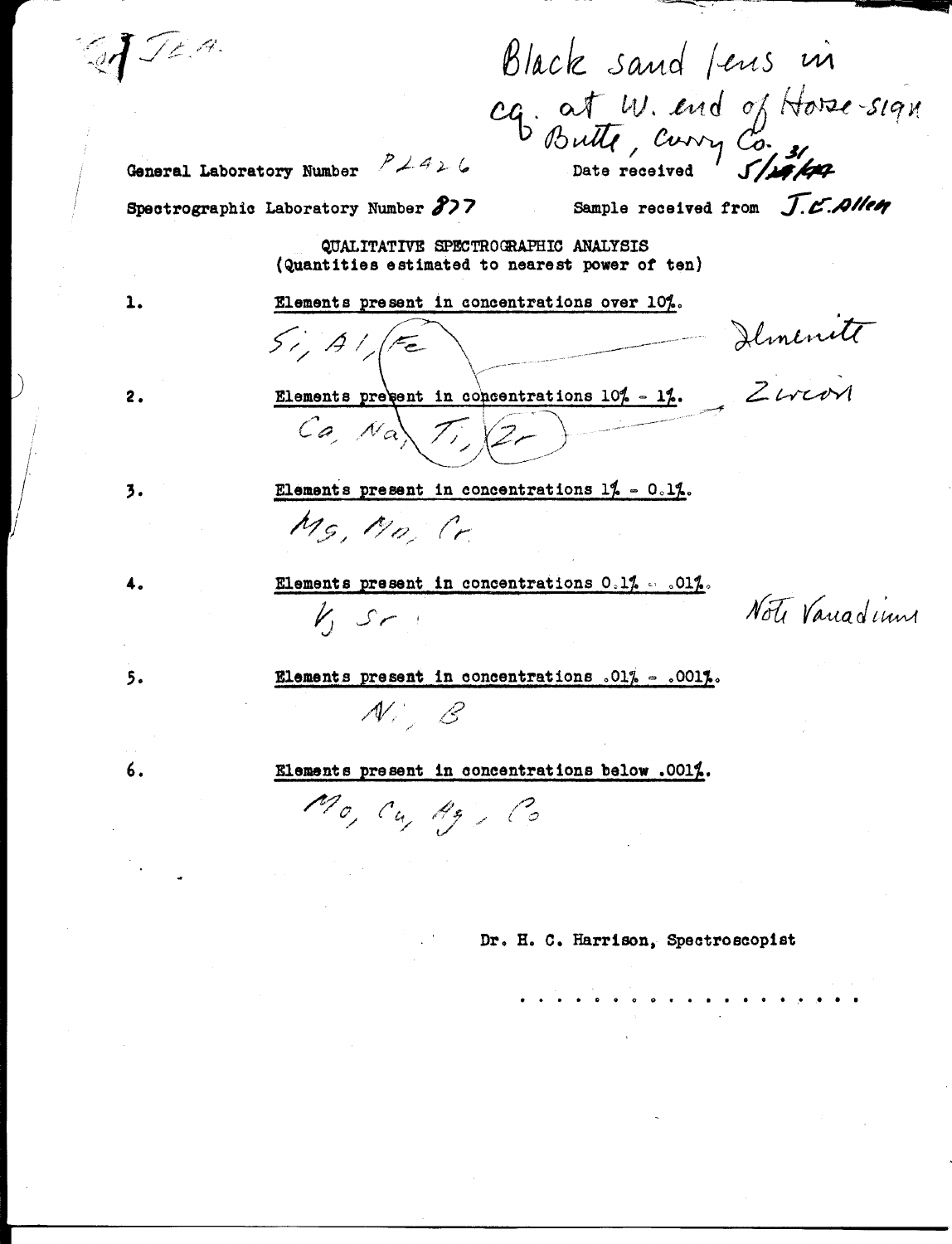GJ JEA.

Black sand fens in cq. at W. and of Horse-sign

General Laboratory Number  $P$   $\neq$  4  $\succ$  6

Sample received from J.C.Allen

Spectrographic Laboratory Number 877

 $5/1/1/5$ 

QUALITATIVE SPECTROGRAPHIC ANALYSIS (Quantities estimated to nearest power of ten)

Elements present in concentrations over 10%.

 $2.$ 

1.

Elements present in concentrations 10% - 1%. Ziveway

- Demente

3.

4.

 $5.$ 

6.

Elements present in concentrations  $1$ ,  $\sim$  0.12. Ms. Mo Cr

Elements present in concentrations  $0.1\%$  . . 01%.  $k, sr.$ 

Note Variadiun

Elements present in concentrations .01% - .001%.

 $\mathcal{N}=\mathcal{E}$ 

Elements present in concentrations below .0012.

Mo, Cu, Ag, Co

Dr. H. C. Harrison, Spectroscopist